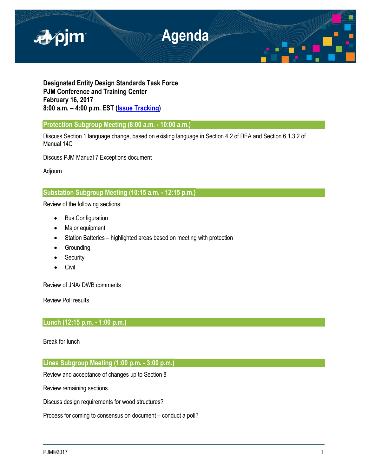

**Designated Entity Design Standards Task Force PJM Conference and Training Center February 16, 2017 8:00 a.m. – 4:00 p.m. EST [\(Issue Tracking\)](http://www.pjm.com/committees-and-groups/issue-tracking/issue-tracking-details.aspx?Issue=%7bE6133A76-DEC6-49DD-89E3-F5ECC642EA67%7d)**

**Protection Subgroup Meeting (8:00 a.m. - 10:00 a.m.)** 

Discuss Section 1 language change, based on existing language in Section 4.2 of DEA and Section 6.1.3.2 of Manual 14C

Discuss PJM Manual 7 Exceptions document

Adjourn

# **Substation Subgroup Meeting (10:15 a.m. - 12:15 p.m.)**

Review of the following sections:

- Bus Configuration
- Major equipment
- Station Batteries highlighted areas based on meeting with protection
- Grounding
- Security
- **Civil**

Review of JNA/ DWB comments

Review Poll results

# **Lunch (12:15 p.m. - 1:00 p.m.)**

Break for lunch

## **Lines Subgroup Meeting (1:00 p.m. - 3:00 p.m.)**

Review and acceptance of changes up to Section 8

Review remaining sections.

Discuss design requirements for wood structures?

Process for coming to consensus on document – conduct a poll?